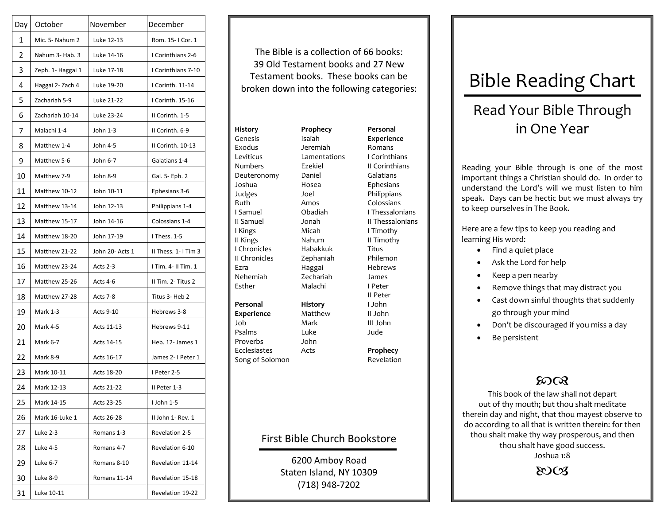| Day | October           | November        | December             |                               |
|-----|-------------------|-----------------|----------------------|-------------------------------|
| 1   | Mic. 5- Nahum 2   | Luke 12-13      | Rom. 15-1 Cor. 1     |                               |
| 2   | Nahum 3- Hab. 3   | Luke 14-16      | I Corinthians 2-6    | The Bil                       |
| 3   | Zeph. 1- Haggai 1 | Luke 17-18      | I Corinthians 7-10   | 39 Old                        |
| 4   | Haggai 2- Zach 4  | Luke 19-20      | I Corinth. 11-14     | Testam<br>broken do           |
| 5   | Zachariah 5-9     | Luke 21-22      | I Corinth. 15-16     |                               |
| 6   | Zachariah 10-14   | Luke 23-24      | II Corinth. 1-5      |                               |
| 7   | Malachi 1-4       | John 1-3        | II Corinth. 6-9      | <b>History</b>                |
| 8   | Matthew 1-4       | John 4-5        | II Corinth. 10-13    | Genesis<br>Exodus             |
| 9   | Matthew 5-6       | John 6-7        | Galatians 1-4        | Leviticus<br><b>Numbers</b>   |
| 10  | Matthew 7-9       | John 8-9        | Gal. 5- Eph. 2       | Deuteronomy                   |
| 11  | Matthew 10-12     | John 10-11      | Ephesians 3-6        | Joshua<br>Judges              |
| 12  | Matthew 13-14     | John 12-13      | Philippians 1-4      | Ruth                          |
| 13  | Matthew 15-17     | John 14-16      | Colossians 1-4       | I Samuel<br>II Samuel         |
| 14  | Matthew 18-20     | John 17-19      | I Thess. 1-5         | I Kings<br>II Kings           |
| 15  | Matthew 21-22     | John 20- Acts 1 | II Thess. 1- I Tim 3 | I Chronicles                  |
| 16  | Matthew 23-24     | Acts 2-3        | I Tim. 4- II Tim. 1  | II Chronicles<br>Ezra         |
| 17  | Matthew 25-26     | Acts 4-6        | Il Tim. 2- Titus 2   | Nehemiah<br>Esther            |
| 18  | Matthew 27-28     | Acts 7-8        | Titus 3- Heb 2       |                               |
| 19  | <b>Mark 1-3</b>   | Acts 9-10       | Hebrews 3-8          | Personal<br>Experience        |
| 20  | Mark 4-5          | Acts 11-13      | Hebrews 9-11         | Job<br>Psalms                 |
| 21  | Mark 6-7          | Acts 14-15      | Heb. 12- James 1     | Proverbs                      |
| 22  | Mark 8-9          | Acts 16-17      | James 2- I Peter 1   | Ecclesiastes<br>Song of Solom |
| 23  | Mark 10-11        | Acts 18-20      | I Peter 2-5          |                               |
| 24  | Mark 12-13        | Acts 21-22      | II Peter 1-3         |                               |
| 25  | Mark 14-15        | Acts 23-25      | I John 1-5           |                               |
| 26  | Mark 16-Luke 1    | Acts 26-28      | II John 1- Rev. 1    |                               |
| 27  | Luke 2-3          | Romans 1-3      | Revelation 2-5       |                               |
| 28  | Luke 4-5          | Romans 4-7      | Revelation 6-10      | First                         |
| 29  | Luke 6-7          | Romans 8-10     | Revelation 11-14     |                               |
| 30  | Luke 8-9          | Romans 11-14    | Revelation 15-18     |                               |
| 31  | Luke 10-11        |                 | Revelation 19-22     |                               |

The Bible is <sup>a</sup> collection of 66 books: 39 Old Testament books and 27 NewTestament books. These books can be broken down into

GenesisExodusLeviticusNumbersDeuteronomy JoshuaJudges Ruth Samuel II Samuel Kings II Kings ChroniclesII ChroniclesEzraNehemiahEsther**PersonalExperience** JobPsalmsProverbsEcclesiastesSong of Solomon **Prophecy** IsaiahJeremiahLamentationsEzekielDanielHoseaJoelAmosObadiahJonahMicahNahumHabakkukZephaniah Haggai ZechariahMalachi**History** MatthewMarkLukeJohnActs

**PersonalExperience** Romans CorinthiansII CorinthiansGalatiansEphesians Philippians Colossians ThessaloniansII Thessalonians Timothy II Timothy TitusPhilemonHebrewsJames PeterII Peter JohnII JohnIII JohnJude

> **Prophecy** Revelation

## Bible Church Bookstore

6200 Amboy Road Staten Island, NY 10309 (718) 948‐7202

## Bible Reading Chart

## Read Your Bible Through in One Year

Reading your Bible through is one of the most important things <sup>a</sup> Christian should do. In order to understand the Lord's will we must listen to himspeak. Days can be hectic but we must always try to keep ourselves in The Book.

Here are <sup>a</sup> few tips to keep you reading and learning His word:

- •• Find a quiet place
- •Ask the Lord for help
- •Keep <sup>a</sup> pen nearby
- •• Remove things that may distract you
- • Cast down sinful thoughts that suddenly go through your mind
- •Don't be discouraged if you miss <sup>a</sup> day
- •Be persistent

## $20Q$

This book of the law shall not depart out of thy mouth; but thou shalt meditate therein day and night, that thou mayest observe to do according to all that is written therein: for then thou shalt make thy way prosperous, and then thou shalt have good success. Joshua 1:8

 $\&$ Os